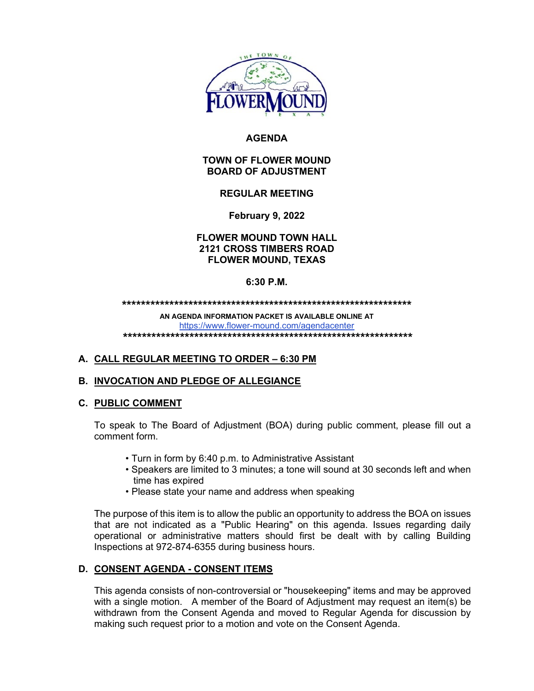

# **AGENDA**

## **TOWN OF FLOWER MOUND BOARD OF ADJUSTMENT**

# **REGULAR MEETING**

**February 9, 2022**

## **FLOWER MOUND TOWN HALL 2121 CROSS TIMBERS ROAD FLOWER MOUND, TEXAS**

## **6:30 P.M.**

**\*\*\*\*\*\*\*\*\*\*\*\*\*\*\*\*\*\*\*\*\*\*\*\*\*\*\*\*\*\*\*\*\*\*\*\*\*\*\*\*\*\*\*\*\*\*\*\*\*\*\*\*\*\*\*\*\*\*\*\*\***

**AN AGENDA INFORMATION PACKET IS AVAILABLE ONLINE AT** <https://www.flower-mound.com/agendacenter> **\*\*\*\*\*\*\*\*\*\*\*\*\*\*\*\*\*\*\*\*\*\*\*\*\*\*\*\*\*\*\*\*\*\*\*\*\*\*\*\*\*\*\*\*\*\*\*\*\*\*\*\*\*\*\*\*\*\*\*\*\***

# **A. CALL REGULAR MEETING TO ORDER – 6:30 PM**

# **B. INVOCATION AND PLEDGE OF ALLEGIANCE**

#### **C. PUBLIC COMMENT**

To speak to The Board of Adjustment (BOA) during public comment, please fill out a comment form.

- Turn in form by 6:40 p.m. to Administrative Assistant
- Speakers are limited to 3 minutes; a tone will sound at 30 seconds left and when time has expired
- Please state your name and address when speaking

The purpose of this item is to allow the public an opportunity to address the BOA on issues that are not indicated as a "Public Hearing" on this agenda. Issues regarding daily operational or administrative matters should first be dealt with by calling Building Inspections at 972-874-6355 during business hours.

# **D. CONSENT AGENDA - CONSENT ITEMS**

This agenda consists of non-controversial or "housekeeping" items and may be approved with a single motion. A member of the Board of Adjustment may request an item(s) be withdrawn from the Consent Agenda and moved to Regular Agenda for discussion by making such request prior to a motion and vote on the Consent Agenda.